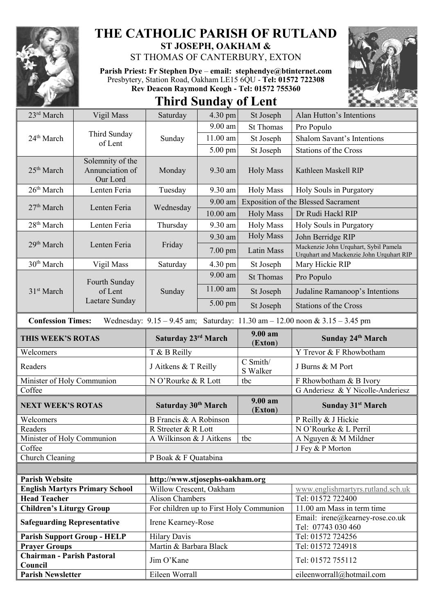

## **THE CATHOLIC PARISH OF RUTLAND ST JOSEPH, OAKHAM &**

ST THOMAS OF CANTERBURY, EXTON

**Parish Priest: Fr Stephen Dye** – **[email: stephendye@btinternet.com](mailto:email:%20%20stephendye@btinternet.com)** Presbytery, Station Road, Oakham LE15 6QU - **Tel: 01572 722308 Rev Deacon Raymond Keogh - Tel: 01572 755360**



**Third Sunday of Lent**

| 23rd March                                                            | Vigil Mass                                      | Saturday                                                      | 4.30 pm           | St Joseph                         | Alan Hutton's Intentions                                                            |  |
|-----------------------------------------------------------------------|-------------------------------------------------|---------------------------------------------------------------|-------------------|-----------------------------------|-------------------------------------------------------------------------------------|--|
|                                                                       |                                                 | Sunday                                                        | $9.00$ am         | <b>St Thomas</b>                  | Pro Populo                                                                          |  |
| 24 <sup>th</sup> March                                                | Third Sunday<br>of Lent                         |                                                               | $11.00$ am        | St Joseph                         | <b>Shalom Savant's Intentions</b>                                                   |  |
|                                                                       |                                                 |                                                               | 5.00 pm           | St Joseph                         | <b>Stations of the Cross</b>                                                        |  |
| 25 <sup>th</sup> March                                                | Solemnity of the<br>Annunciation of<br>Our Lord | Monday                                                        | 9.30 am           | <b>Holy Mass</b>                  | Kathleen Maskell RIP                                                                |  |
| 26 <sup>th</sup> March                                                | Lenten Feria                                    | Tuesday                                                       | 9.30 am           | <b>Holy Mass</b>                  | Holy Souls in Purgatory                                                             |  |
| 27 <sup>th</sup> March                                                |                                                 | Wednesday                                                     | $9.00$ am         |                                   | <b>Exposition of the Blessed Sacrament</b>                                          |  |
|                                                                       | Lenten Feria                                    |                                                               | $10.00$ am        | <b>Holy Mass</b>                  | Dr Rudi Hackl RIP                                                                   |  |
| 28 <sup>th</sup> March                                                | Lenten Feria                                    | Thursday                                                      | 9.30 am           | <b>Holy Mass</b>                  | Holy Souls in Purgatory                                                             |  |
|                                                                       | Lenten Feria                                    | Friday                                                        | 9.30 am           | <b>Holy Mass</b>                  | John Berridge RIP                                                                   |  |
| 29 <sup>th</sup> March                                                |                                                 |                                                               | $7.00 \text{ pm}$ | Latin Mass                        | Mackenzie John Urquhart, Sybil Pamela<br>Urquhart and Mackenzie John Urquhart RIP   |  |
| 30 <sup>th</sup> March                                                | Vigil Mass                                      | Saturday                                                      | 4.30 pm           | St Joseph                         | Mary Hickie RIP                                                                     |  |
|                                                                       | Fourth Sunday<br>of Lent<br>Laetare Sunday      | Sunday                                                        | 9.00 am           | <b>St Thomas</b>                  | Pro Populo                                                                          |  |
| 31 <sup>st</sup> March                                                |                                                 |                                                               | 11.00 am          | St Joseph                         | Judaline Ramanoop's Intentions                                                      |  |
|                                                                       |                                                 |                                                               | 5.00 pm           | St Joseph                         | <b>Stations of the Cross</b>                                                        |  |
| <b>Confession Times:</b>                                              |                                                 |                                                               |                   |                                   | Wednesday: $9.15 - 9.45$ am; Saturday: $11.30$ am $- 12.00$ noon & $3.15 - 3.45$ pm |  |
| THIS WEEK'S ROTAS                                                     |                                                 | Saturday 23rd March                                           |                   | 9.00 a <sub>m</sub><br>(Exton)    | Sunday 24th March                                                                   |  |
| Welcomers                                                             |                                                 | T & B Reilly                                                  |                   |                                   | Y Trevor & F Rhowbotham                                                             |  |
| Readers                                                               |                                                 | J Aitkens & T Reilly                                          |                   | $\overline{C}$ Smith/<br>S Walker | J Burns & M Port                                                                    |  |
| Minister of Holy Communion                                            |                                                 | N O'Rourke & R Lott                                           |                   | tbc                               | F Rhowbotham & B Ivory                                                              |  |
| Coffee                                                                |                                                 |                                                               |                   |                                   | G Anderiesz & Y Nicolle-Anderiesz                                                   |  |
| <b>NEXT WEEK'S ROTAS</b>                                              |                                                 | Saturday 30 <sup>th</sup> March                               |                   | 9.00 am<br>(Exton)                | <b>Sunday 31st March</b>                                                            |  |
| Welcomers                                                             |                                                 | B Francis & A Robinson                                        |                   |                                   | P Reilly & J Hickie                                                                 |  |
| Readers                                                               |                                                 | R Streeter & R Lott                                           |                   |                                   | N O'Rourke & L Perril                                                               |  |
| Minister of Holy Communion                                            |                                                 | A Wilkinson & J Aitkens                                       |                   | tbc                               | A Nguyen & M Mildner                                                                |  |
| Coffee                                                                |                                                 |                                                               |                   |                                   | J Fey & P Morton                                                                    |  |
| Church Cleaning                                                       |                                                 | P Boak & F Quatabina                                          |                   |                                   |                                                                                     |  |
|                                                                       |                                                 |                                                               |                   |                                   |                                                                                     |  |
| <b>Parish Website</b>                                                 |                                                 | http://www.stjosephs-oakham.org                               |                   |                                   |                                                                                     |  |
| <b>English Martyrs Primary School</b>                                 |                                                 | Willow Crescent, Oakham                                       |                   |                                   | www.englishmartyrs.rutland.sch.uk                                                   |  |
| <b>Head Teacher</b>                                                   |                                                 | <b>Alison Chambers</b>                                        |                   |                                   | Tel: 01572 722400<br>11.00 am Mass in term time                                     |  |
| <b>Children's Liturgy Group</b><br><b>Safeguarding Representative</b> |                                                 | For children up to First Holy Communion<br>Irene Kearney-Rose |                   |                                   | Email: irene@kearney-rose.co.uk<br>Tel: 07743 030 460                               |  |
|                                                                       | <b>Parish Support Group - HELP</b>              | <b>Hilary Davis</b>                                           |                   |                                   | Tel: 01572 724256                                                                   |  |
| <b>Prayer Groups</b>                                                  |                                                 | Martin & Barbara Black                                        |                   |                                   | Tel: 01572 724918                                                                   |  |
| <b>Chairman - Parish Pastoral</b><br>Council                          |                                                 | Jim O'Kane                                                    |                   |                                   | Tel: 01572 755112                                                                   |  |
| <b>Parish Newsletter</b>                                              |                                                 | Eileen Worrall                                                |                   |                                   | eileenworrall@hotmail.com                                                           |  |